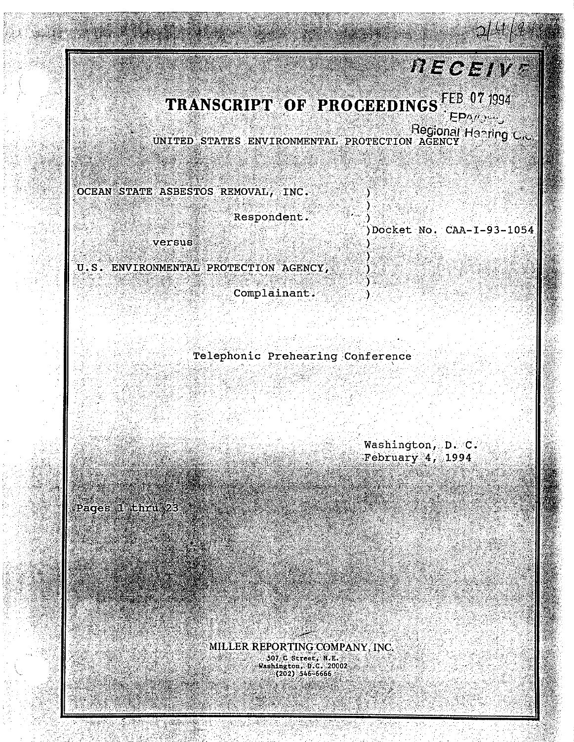## $RECEIVF$

TRANSCRIPT OF PROCEEDINGS FEB 07 1994  $EPM\mu$ 

UNITED STATES ENVIRONMENTAL PROTECTION AGENCY Hanning C.C.

OCEAN STATE ASBESTOS REMOVAL, INC.

di conc

Respondent.

versus

U.S. ENVIRONMENTAL PROTECTION AGENCY,

Complainant?

)Docket No. CAA-1-93-1054

Telephonic Prehearing Conference

Washington, D. C. February 4, 1994.

Pages I tenni 23

MILLER REPORTING COMPANY, INC. 507 C Street, N.E.<br>Washington, D.C. 20002<br>(202) 546-6666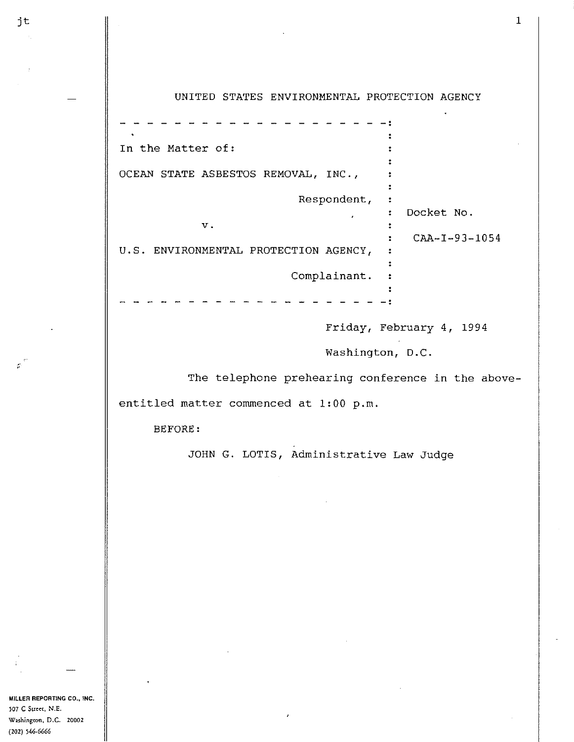| In the Matter of:                     |                       |
|---------------------------------------|-----------------------|
|                                       |                       |
| OCEAN STATE ASBESTOS REMOVAL, INC.,   |                       |
|                                       |                       |
| Respondent,                           |                       |
|                                       | Docket No.            |
| V.                                    |                       |
|                                       | $CAA - I - 93 - 1054$ |
| U.S. ENVIRONMENTAL PROTECTION AGENCY, |                       |
|                                       |                       |
| Complainant.                          |                       |
|                                       |                       |
|                                       |                       |
|                                       |                       |

Friday, February 4, 1994

Washington, D.C.

The telephone prehearing conference in the above-

entitled matter commenced at 1:00 p.m.

BEFORE:

JOHN G. LOTIS, Administrative Law Judge

**MILLER REPORTING CO., INC. 507 C Suc:ct, N.E. W2Shington, D.C. 20002 (202) 546-6666** 

 $\mathcal{L}^{\mathcal{L}}$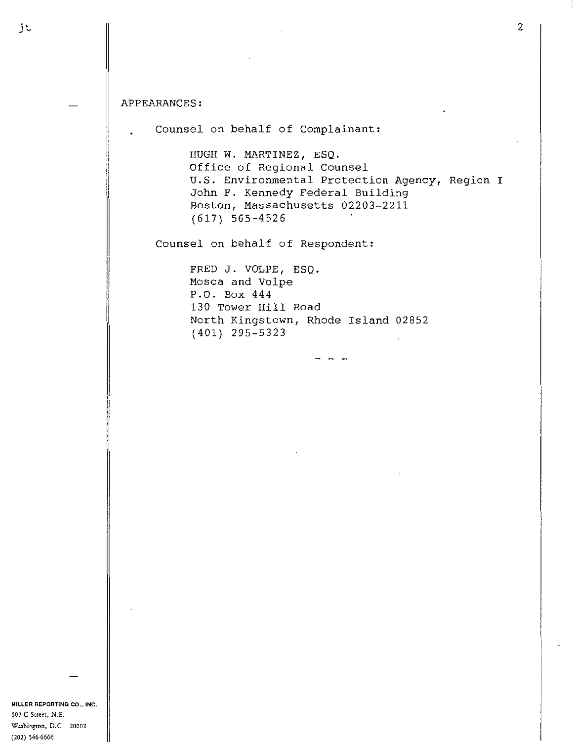## APPEARANCES:

Counsel on behalf of Complainant:

HUGH W. MARTINEZ, ESQ. Office of Regional Counsel U.S. Environmental Protection Agency, Region I John F. Kennedy Federal Building Boston, Massachusetts 02203-2211 (617) 565-4526

Counsel on behalf of Respondent:

FRED J. VOLPE, ESQ. Mosca and Volpe P.O. Box 444 130 Tower Hill Road North Kingstown, Rhode Island 02852 (401) 295-5323

**MILLER REPORTING CO., INC. 507 C Street, N.E. Washington, D.C. 20002 (202) 546-6666**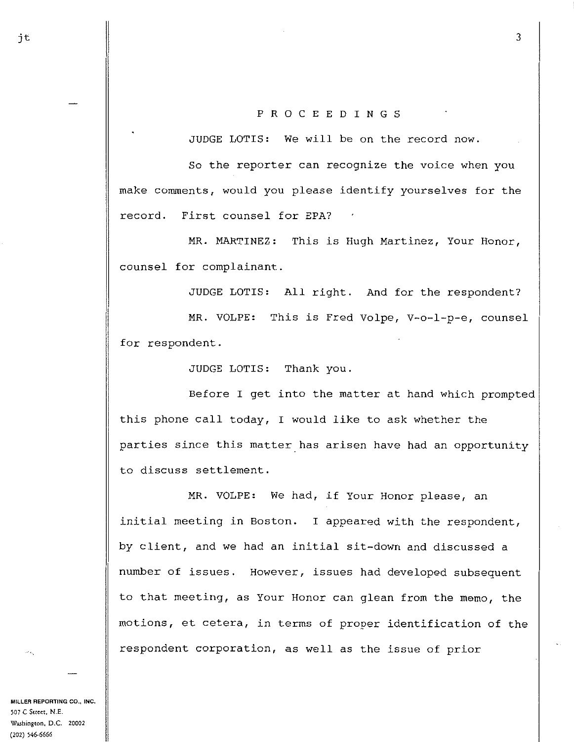## P R 0 C E E D I N G S

JUDGE LOTIS: We will be on the record now.

So the reporter can recognize the *voice* when you make comments, would you please identify yourselves for the record. First counsel for EPA?

MR. MARTINEZ: This is Hugh Martinez, Your Honor, counsel for complainant.

JUDGE LOTIS: All right. And for the respondent?

MR. VOLPE: This is Fred Volpe, V-o-1-p-e, counsel for respondent.

JUDGE LOTIS: Thank you.

Before I get into the matter at hand which prompted this phone call today, I would like to ask whether the parties since this matter has arisen have had an opportunity to discuss settlement.

MR. VOLPE: We had, if Your Honor please, an initial meeting in Boston. I appeared with the respondent, by client, and we had an initial sit-down and discussed a number of issues. However, issues had developed subsequent to that meeting, as Your Honor can glean from the memo, the motions, et cetera, in terms of proper identification of the respondent corporation, as well as the issue of prior

**MILLER REPORTING CO., INC.**  ~07 **C Street, N.E. Washington, D.C. 20002 (202) 546-6666**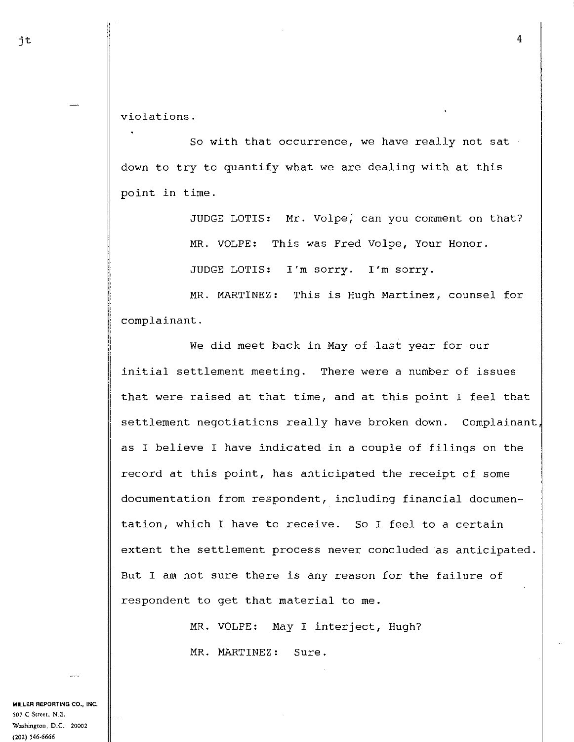violations.

So with that occurrence, we have really not sat down to try to quantify what we are dealing with at this point in time.

JUDGE LOTIS: Mr. Volpe, can you comment on that?

MR. VOLPE: This was Fred Volpe, Your Honor.

JUDGE LOTIS: I'm sorry. I'm sorry.

MR. MARTINEZ: This is Hugh Martinez, counsel for complainant.

We did meet back in May of last year for our initial settlement meeting. There were a number of issues that were raised at that time, and at this point I feel that settlement negotiations really have broken down. Complainant, as I believe I have indicated in a couple of filings on the record at this point, has anticipated the receipt of some documentation from respondent, including financial documentation, which I have to receive. So I feel to a certain extent the settlement process never concluded as anticipated. But I am not sure there is any reason for the failure of respondent to get that material to me.

> MR. VOLPE: May I interject, Hugh? MR. MARTINEZ: Sure.

**MILLER REPORTING CO., INC. 507 C Street, N.E. Washington, D.C. 20002 {202) 546-6666**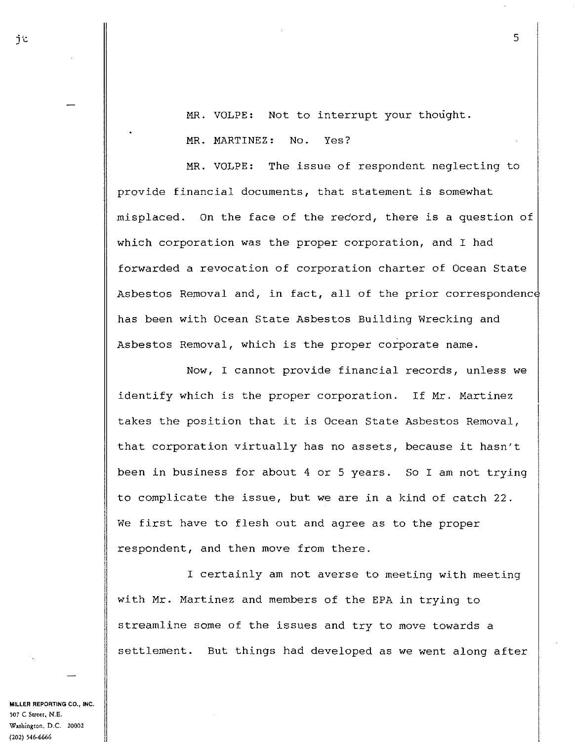MR. VOLPE: Not to interrupt your thought. MR. MARTINEZ: No. Yes?

MR. VOLPE: The issue of respondent neglecting to provide financial documents, that statement is somewhat misplaced. On the face of the record, there is a question of which corporation was the proper corporation, and I had forwarded a revocation of corporation charter of Ocean State Asbestos Removal and, in fact, all of the prior correspondenc has been with Ocean State Asbestos Building Wrecking and Asbestos Removal, which is the proper corporate name.

Now, I cannot provide financial records, unless we identify which is the proper corporation. If Mr. Martinez takes the position that it is Ocean State Asbestos Removal, that corporation virtually has no assets, because it hasn't been in business for about 4 or 5 years. So I am not trying to complicate the issue, but we are in a kind of catch 22. We first have to flesh out and agree as to the proper respondent, and then move from there.

I certainly am not averse to meeting with meeting with Mr. Martinez and members of the EPA in trying to streamline some of the issues and try to move towards a settlement. But things had developed as we went along after

**MILLER REPORTING CO., INC. }07 C Sueet, N.E. WolShington, D.C. 20002 (202) 546-6666** 

j times that the contract of the contract of the contract of the contract of the contract of the contract of the contract of the contract of the contract of the contract of the contract of the contract of the contract of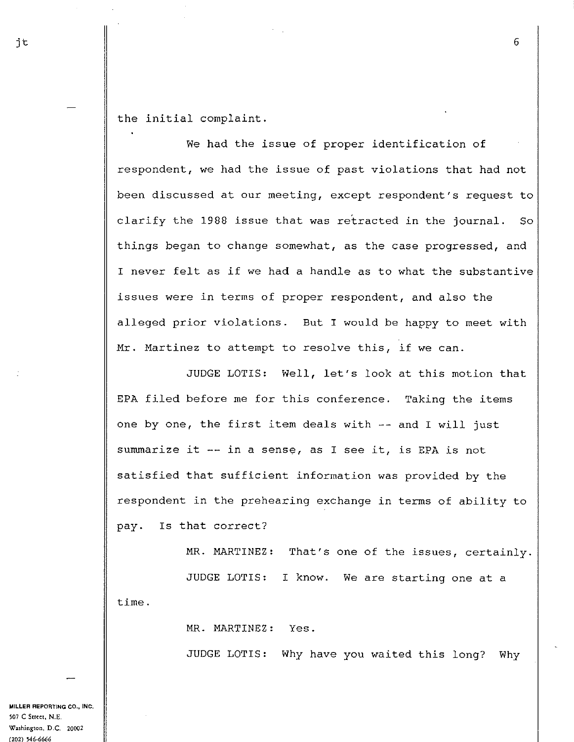the initial complaint.

We had the issue of proper identification of respondent, we had the issue of past violations that had not been discussed at our meeting, except respondent's request to clarify the 1988 issue that was retracted in the journal. So things began to change somewhat, as the case progressed, and I never felt as if we had a handle as to what the substantive issues were in terms of proper respondent, and also the alleged prior violations. But I would be happy to meet with Mr. Martinez to attempt to resolve this, if we can.

JUDGE LOTIS: Well, let's look at this motion that EPA filed before me for this conference. Taking the items one by one, the first item deals with -- and I will just summarize it -- in a sense, as I see it, is EPA is not satisfied that sufficient information was provided by the respondent in the prehearing exchange in terms of ability to pay. Is that correct?

MR. MARTINEZ: That's one of the issues, certainly.

JUDGE LOTIS: I know. We are starting one at a time.

MR. MARTINEZ: Yes.

JUDGE LOTIS: Why have you waited this long? Why

**MILLER REPORTING CO., INC, 507 C Street, N.E.**  W~hington, **D.C. 20002 (202) 546-6666** 

6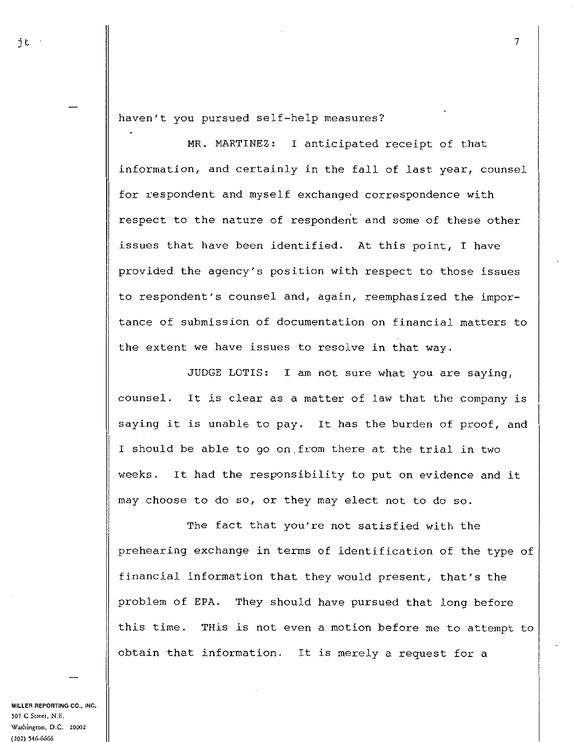haven't you pursued self-help measures?

MR. MARTINEZ: I anticipated receipt of that information, and certainly in the fall of last year, counsel for respondent and myself exchanged correspondence with respect to the nature of respondent and some of these other issues that have been identified. At this point, I have provided the agency's position with respect to those issues to respondent's counsel and, again, reemphasized the importance of submission of documentation on financial matters to the extent we have issues to resolve in that way.

JUDGE LOTIS: I am not sure what you are saying, counsel. It is clear as a matter of law that the company is saying it is unable to pay. It has the burden of proof, and I should be able to go on\_from there at the trial in two weeks. It had the responsibility to put on evidence and it may choose to do so, or they may elect not to do so.

The fact that you're not satisfied with the prehearing exchange in terms of identification of the type of financial information that they would present, that's the problem of EPA. They should have pursued that long before this time. THis is not even a motion before me to attempt to obtain that information. It is merely a request for a

**MILLER REPORTING CO., INC.**  ~07 **C Street, N.E.**  w~hington, **D.C. 20002 (202) 546-6666**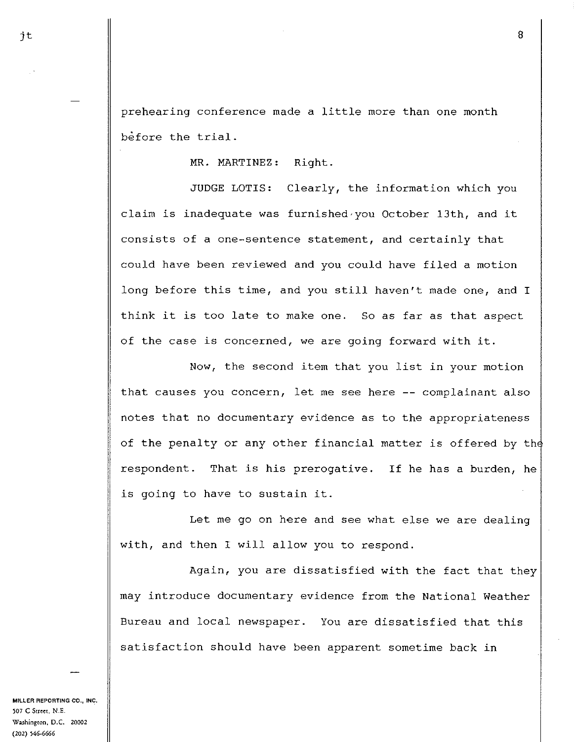prehearing conference made a little more than one month before the trial.

MR. MARTINEZ: Right.

JUDGE LOTIS: Clearly, the information which you claim is inadequate was furnished,you October 13th, and it consists of a one-sentence statement, and certainly that could have been reviewed and you could have filed a motion long before this time, and you still haven't made one, and I think it is too late to make one. So as far as that aspect of the case is concerned, we are going forward with it.

Now, the second item that you list in your motion that causes you concern, let me see here -- complainant also notes that no documentary evidence as to the appropriateness of the penalty or any other financial matter is offered by th respondent. That is his prerogative. If he has a burden, he is going to have to sustain it.

Let me go on here and see what else we are dealing with, and then I will allow you to respond.

Again, you are dissatisfied with the fact that they may introduce documentary evidence from the National Weather Bureau and local newspaper. You are dissatisfied that this satisfaction should have been apparent sometime back in

**MILLER REPORTING CO., INC.**  ~07 **C Street, N.E.**  W:~.Shington, **D.C. 20002 (202) 546-6666**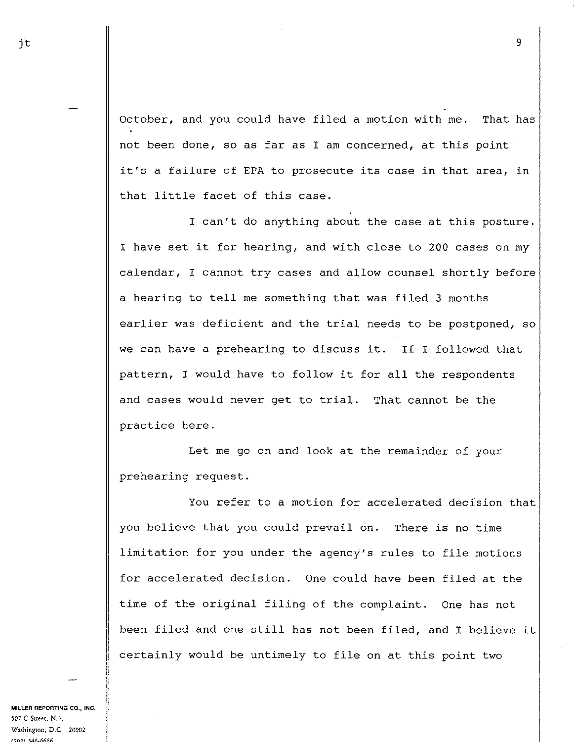October, and you could have filed a motion with me. That has not been done, so as far as I am concerned, at this point it's a failure of EPA to prosecute its case in that area, in that little facet of this case.

I can't do anything about the case at this posture. I have set it for hearing, and with close to 200 cases on my calendar, I cannot try cases and allow counsel shortly before a hearing to tell me something that was filed 3 months earlier was deficient and the trial needs to be postponed, so we can have a prehearing to discuss it. If I followed that pattern, I would have to follow it for all the respondents and cases would never get to trial. That cannot be the practice here.

Let me go on and look at the remainder of your prehearing request.

You refer to a motion for accelerated decision that you believe that you could prevail on. There is no time limitation for you under the agency's rules to file motions for accelerated decision. One could have been filed at the time of the original filing of the complaint. One has not been filed and one still has not been filed, and I believe it certainly would be untimely to file on at this point two

**MILLER REPORTING CO., INC. 507 C Street, N .E. Washington, D.C. 20002 (202\ 'i46-6666** 

jt  $\qquad$  9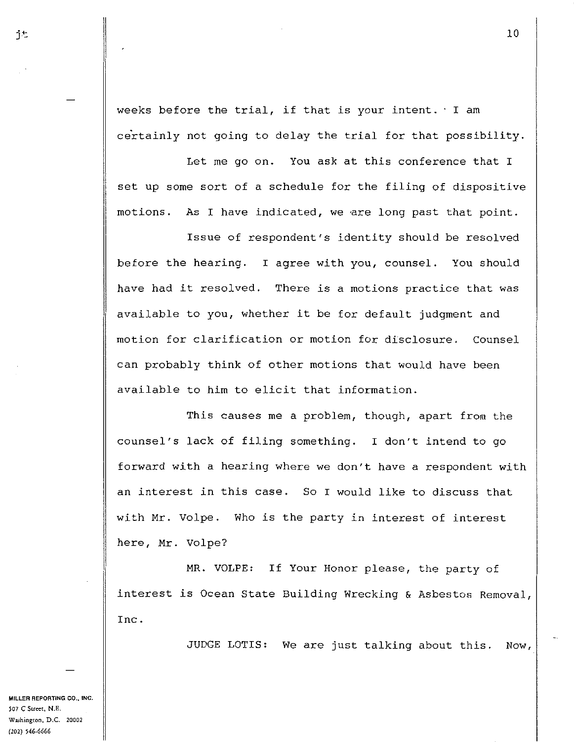weeks before the trial, if that is your intent. · I am certainly not going to delay the trial for that possibility.

Let me go on. You ask at this conference that I set up some sort of a schedule for the filing of dispositive motions. As I have indicated, we are long past that point.

Issue of respondent's identity should be resolved before the hearing. I agree with you, counsel. You should have had it resolved. There is a motions practice that was available to you, whether it be for default judgment and motion for clarification or motion for disclosure. Counsel can probably think of other motions that would have been available to him to elicit that information.

This causes me a problem, though, apart from the counsel's lack of filing something. I don't intend to go forward with a hearing where we don't have a respondent with an interest in this case. So I would like to discuss that with Mr. Volpe. Who is the party in interest of interest here, Mr. Volpe?

MR. VOLPE: If Your Honor please, the party of interest is Ocean State Building Wrecking & Asbestos Removal, Inc.

JUDGE LOTIS: We are just talking about this. Now,

**MillER REPORTING CO., INC. 507 C Street, N.E. Washington, D.C. 20002 (202) 546·6666**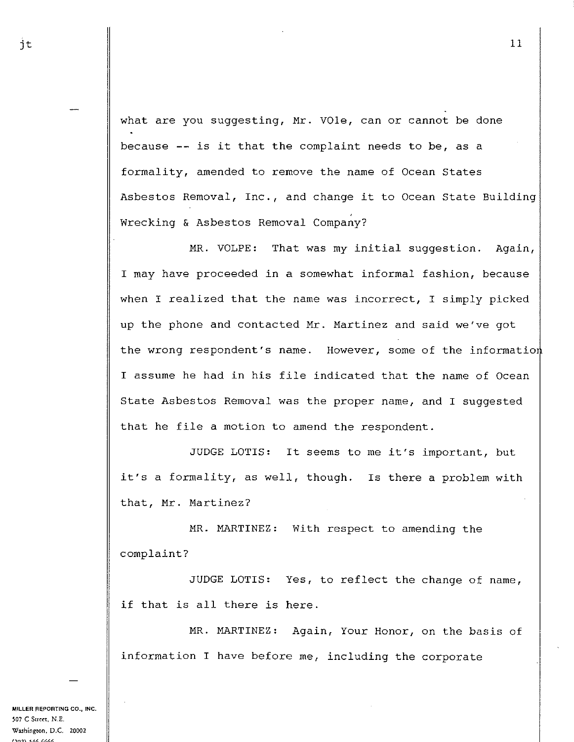what are you suggesting, Mr. VOle, can or cannot be done because -- is it that the complaint needs to be, as a formality, amended to remove the name of Ocean States

Asbestos Removal, Inc., and change it to Ocean State Building Wrecking & Asbestos Removal Company?

MR. VOLPE: That was my initial suggestion. Again, I may have proceeded in a somewhat informal fashion, because when I realized that the name was incorrect, I simply picked up the phone and contacted Mr. Martinez and said we've got the wrong respondent's name. However, some of the informatio I assume he had in his file indicated that the name of Ocean State Asbestos Removal was the proper name, and I suggested that he file a motion to amend the respondent.

JUDGE LOTIS: It seems to me it's important, but it's a formality, as well, though. Is there a problem with that, Mr. Martinez?

MR. MARTINEZ: With respect to amending the complaint?

JUDGE LOTIS: Yes, to reflect the change of name, if that is all there is here.

MR. MARTINEZ: Again, Your Honor, on the basis of information I have before me, including the corporate

**MILLER REPORTING CO., INC.**  ~07 **C Sm:c:t. N.E. Washington, D.C. 20002**  *{,111\* ~.<!(,.(,(,(,(,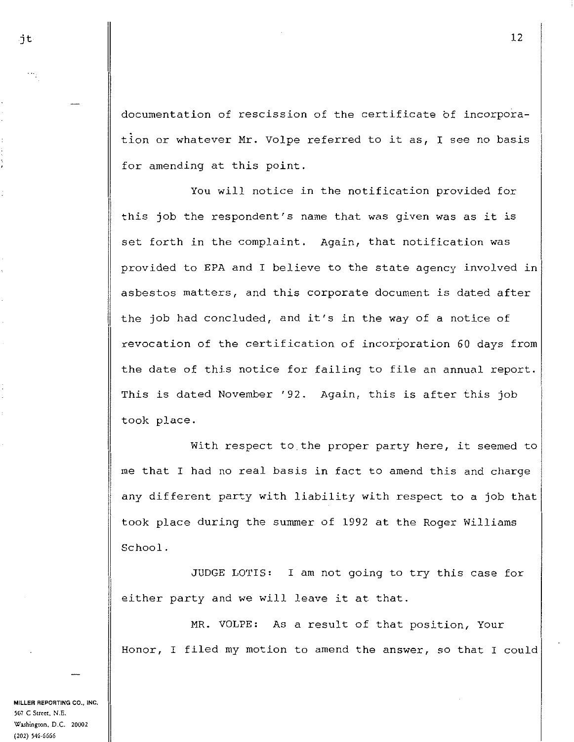documentation of rescission of the certificate of incorporation or whatever Mr. Volpe referred to it as, I see no basis for amending at this point.

You will notice in the notification provided for this job the respondent's name that was given was as it is set forth in the complaint. Again, that notification was provided to EPA and I believe to the state agency involved in asbestos matters, and this corporate document is dated after the job had concluded, and it's in the way of a notice of revocation of the certification of incorporation 60 days from the date of this notice for failing to file an annual report. This is dated November '92. Again, this is after this job took place.

With respect to the proper party here, it seemed to me that I had no real basis in fact to amend this and charge any different party with liability with respect to a job that took place during the summer of 1992 at the Roger Williams School.

JUDGE LOTIS: I am not going to try this case for either party and we will leave it at that.

MR. VOLPE: As a result of that position, Your Honor, I filed my motion to amend the answer, so that I could

**MILLER REPORTING CO., INC. 507 C Scrcet, N.E. W:l.Shingron, D.C.** *20002*  **(202) 546-6666**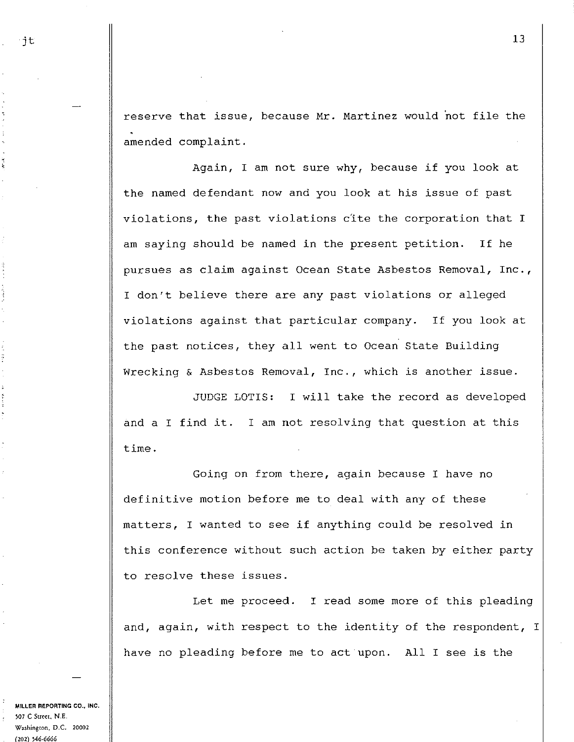reserve that issue, because Mr. Martinez would not file the amended complaint.

Again, I am not sure why, because if you look at the named defendant now and you look at his issue of past violations, the past violations cite the corporation that I am saying should be named in the present petition. If he pursues as claim against Ocean State Asbestos Removal, Inc., I don't believe there are any past violations or alleged violations against that particular company. If you look at the past notices, they all went to Ocean State Building Wrecking & Asbestos Removal, Inc., which is another issue.

JUDGE LOTIS: I will take the record as developed and a I find it. I am not resolving that question at this time.

Going on from there, again because I have no definitive motion before me to deal with any of these matters, I wanted to see if anything could be resolved in this conference without such action be taken by either party to resolve these issues.

Let me proceed. I read some more of this pleading and, again, with respect to the identity of the respondent, I have no pleading before me to act upon. All I see is the

**MILLER REPORTING CO., INC. 507 C Street, N.E. W:J.Shington, D.C. 20002 (202} 546-6666** 

ř

13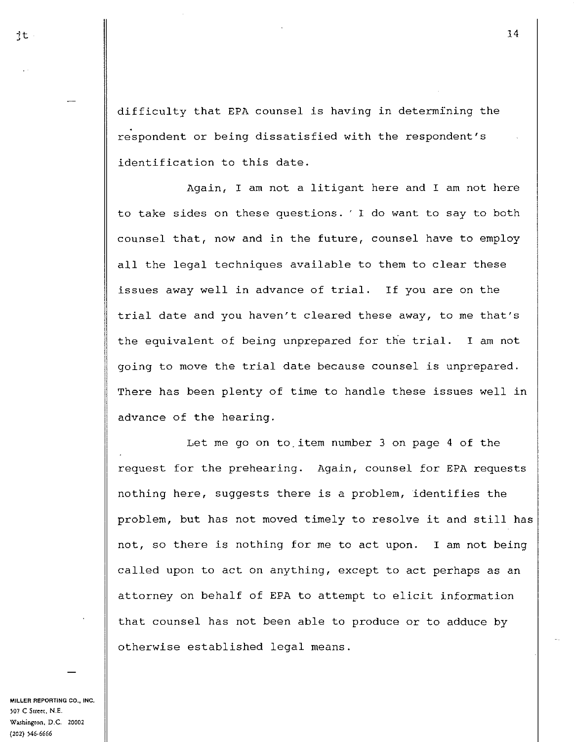difficulty that EPA counsel is having in determining the respondent or being dissatisfied with the respondent's identification to this date.

Again, I am not a litigant here and I am not here to take sides on these questions. ' I do want to say to both counsel that, now and in the future, counsel have to employ all the legal techniques available to them to clear these issues away well in advance of trial. If you are on the trial date and you haven't cleared these away, to me that's the equivalent of being unprepared for the trial. I am not going to move the trial date because counsel is unprepared. There has been plenty of time to handle these issues well in advance of the hearing.

Let me go on to item number 3 on page 4 of the request for the prehearing. Again, counsel for EPA requests nothing here, suggests there is a problem, identifies the problem, but has not moved timely to resolve it and still has not, so there is nothing for me to act upon. I am not being called upon to act on anything, except to act perhaps as an attorney on behalf of EPA to attempt to elicit information that counsel has not been able to produce or to adduce by otherwise established legal means.

**MILLER REPORTING CO., INC.**  ~07 **C Sw::e[, N.E. W:l.Shingwn, D.C. 20002 (202) )46-6666**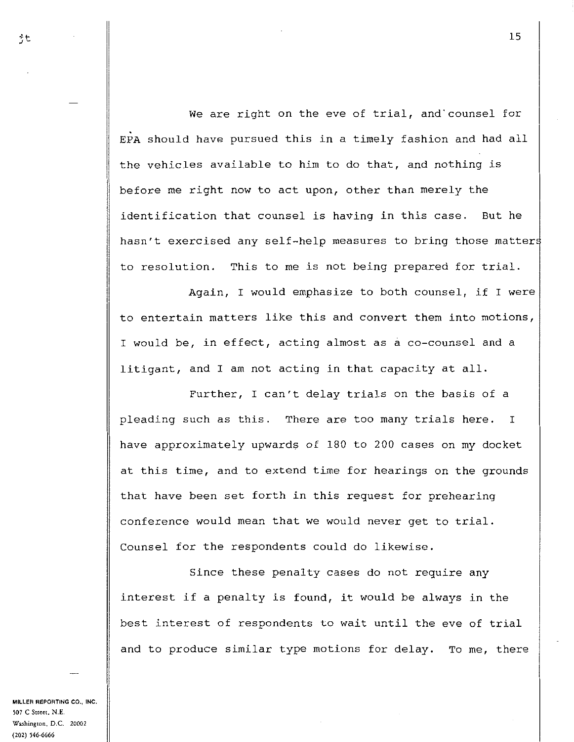We are right on the eve of trial, and'counsel for EPA should have pursued this in a timely fashion and had all the vehicles available to him to do that, and nothing is before me right now to act upon, other than merely the identification that counsel is having in this case. But he hasn't exercised any self-help measures to bring those matter to resolution. This to me is not being prepared for trial.

Again, I would emphasize to both counsel, if I were to entertain matters like this and convert them into motions, I would be, in effect, acting almost as a co-counsel and a litigant, and I am not acting in that capacity at all.

Further, I can't delay trials on the basis of a pleading such as this. There are too many trials here. I have approximately upwards of 180 to 200 cases on my docket at this time, and to extend time for hearings on the grounds that have been set forth in this request for prehearing conference would mean that we would never get to trial. Counsel for the respondents could do likewise.

Since these penalty cases do not require any interest if a penalty is found, it would be always in the best interest of respondents to wait until the eve of trial and to produce similar type motions for delay. To me, there

**MILLER REPORTING CO., 1NC. 507 C Street, N.E. W:tShington, D.C. 20002 (202) 546·6666**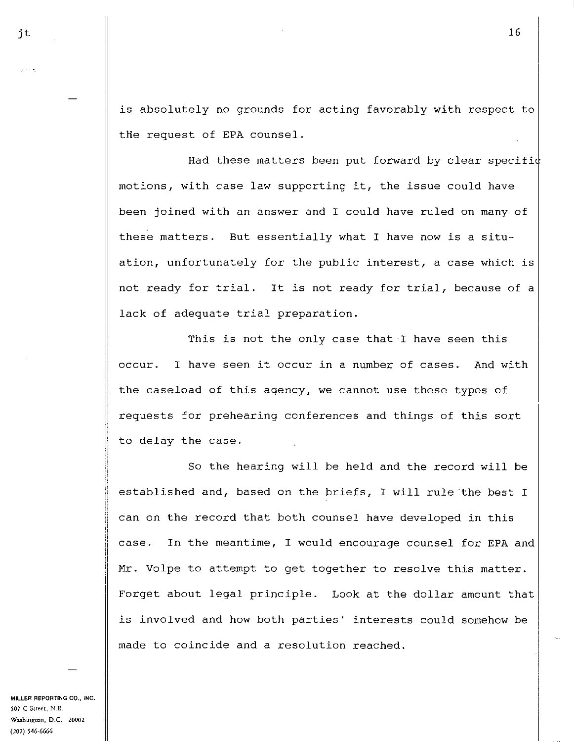is absolutely no grounds for acting favorably with respect to the request of EPA counsel.

Had these matters been put forward by clear specific motions, with case law supporting it, the issue could have been joined with an answer and I could have ruled on many of these matters. But essentially what I have now is a situation, unfortunately for the public interest, a case which is not ready for trial. It is not ready for trial, because of a lack of adequate trial preparation.

This is not the only case that I have seen this occur. I have seen it occur in a number of cases. And with the caseload of this agency, we cannot use these types of requests for prehearing conferences and things of this sort to delay the case.

So the hearing will be held and the record will be established and, based on the briefs, I will rule the best I can on the record that both counsel have developed in this case. In the meantime, I would encourage counsel for EPA and Mr. Volpe to attempt to get together to resolve this matter. Forget about legal principle. Look at the dollar amount that is involved and how both parties' interests could somehow be made to coincide and a resolution reached.

**MILLER REPORTING CO., INC. 507 C Sm:c:t, N.E. Washington, D.C. 20002 (202) 546-6666**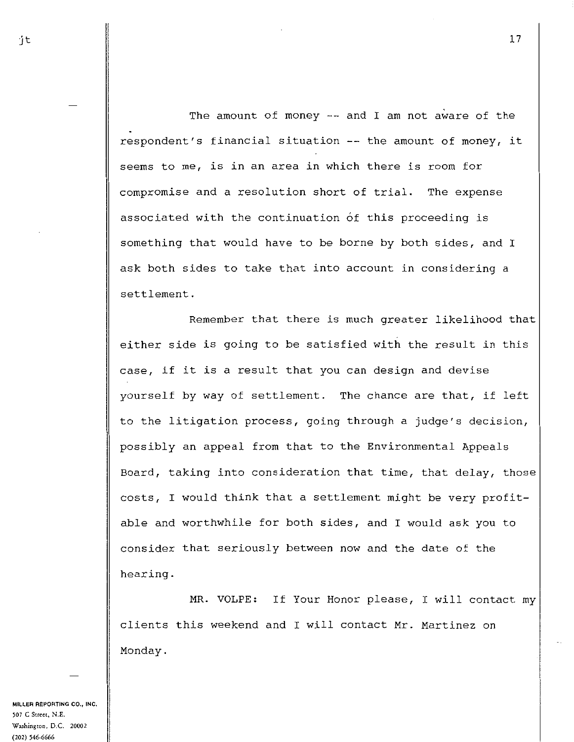The amount of money -- and I am not aware of the respondent's financial situation  $--$  the amount of money, it seems to me, is in an area in which there is room for compromise and a resolution short of trial. The expense associated with the continuation of this proceeding is something that would have to be borne by both sides, and I ask both sides to take that into account in considering a settlement.

Remember that there is much greater likelihood that either side is going to be satisfied with the result in this case, if it is a result that you can design and devise yourself by way of settlement. The chance are that, if left to the litigation process, going through a judge's decision, possibly an appeal from that to the Environmental Appeals Board, taking into consideration that time, that delay, those costs, I would think that a settlement might be very profitable and worthwhile for both sides, and I would ask you to consider that seriously between now and the date of the hearing.

MR. VOLPE: If Your Honor please, I will contact my clients this weekend and I will contact Mr. Martinez on Monday.

**MILLER REPORTING CO., INC,**  ~07 **C Suc:et, N.E.**  W~hington, **D.C. 20002 (202)** ~46-6666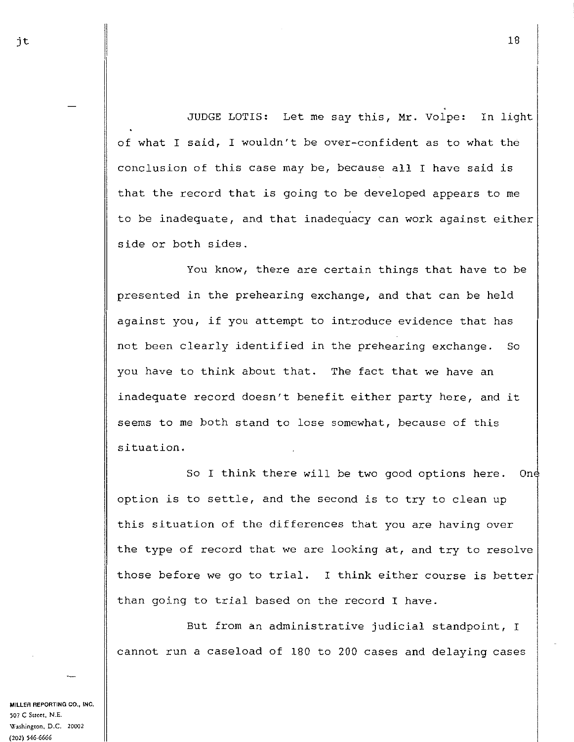JUDGE LOTIS: Let me say this, Mr. Volpe: In light of what I said, I wouldn't be over-confident as to what the conclusion of this case may be, because all I have said is that the record that is going to be developed appears to me to be inadequate, and that inadequacy can work against either side or both sides.

You know, there are certain things that have to be presented in the prehearing exchange, and that can be held against you, if you attempt to introduce evidence that has not been clearly identified in the prehearing exchange. So you have to think about that. The fact that we have an inadequate record doesn't benefit either party here, and it seems to me both stand to lose somewhat, because of this situation.

So I think there will be two good options here. One option is to settle, and the second is to try to clean up this situation of the differences that you are having over the type of record that we are looking at, and try to resolve those before we go to trial. I think either course is better than going to trial based on the record I have.

But from an administrative judicial standpoint, I cannot run a caseload of 180 to 200 cases and delaying cases

**MILLER REPORTING CO., INC.**  ~07 **C Street, N.E. Washingron, D.C. 20002 (202) 546-6666**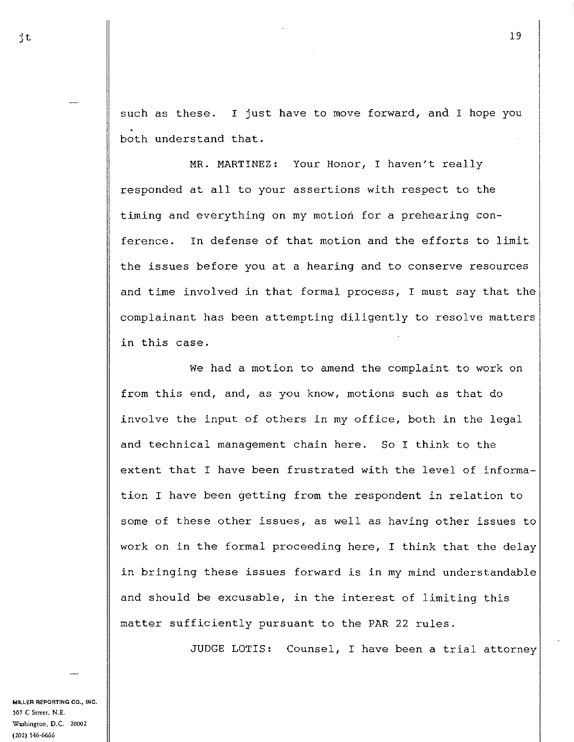such as these. I just have to move forward, and I hope you both understand that.

MR. MARTINEZ: Your Honor, I haven't really responded at all to your assertions with respect to the timing and everything on my motion for a prehearing conference. In defense of that motion and the efforts to limit the issues before you at a hearing and to conserve resources and time involved in that formal process, I must say that the complainant has been attempting diligently to resolve matters in this case.

We had a motion to amend the complaint to work on from this end, and, as you know, motions such as that do involve the input of others in my office, both in the legal and technical management chain here. So I think to the extent that I have been frustrated with the level of information I have been getting from the respondent in relation to some of these other issues, as well as having other issues to work on in the formal proceeding here, I think that the delay in bringing these issues forward is in my mind understandable and should be excusable, in the interest of limiting this matter sufficiently pursuant to the PAR 22 rules.

JUDGE LOTIS: Counsel, I have been a trial attorney

**MILLER REPORTING CO., INC.**  '07 **C Street, N.E. Washington, D.C. 20002 (202) 546-6666** 

 $\ddot{\phantom{1}}$ t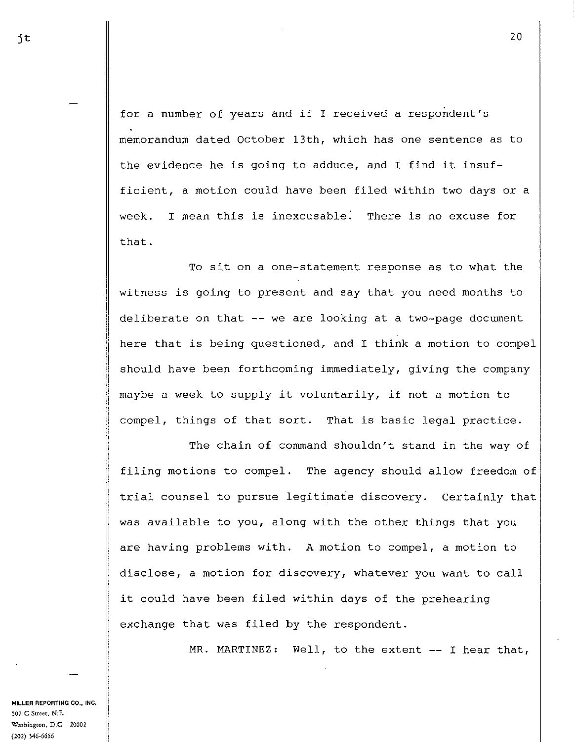for a number of years and if I received a respondent's memorandum dated October 13th, which has one sentence as to the evidence he is going to adduce, and I find it insufficient, a motion could have been filed within two days or a week. I mean this is inexcusable. There is no excuse for that.

To sit on a one-statement response as to what the witness is going to present and say that you need months to deliberate on that  $--$  we are looking at a two-page document here that is being questioned, and I think a motion to compel should have been forthcoming immediately, giving the company maybe a week to supply it voluntarily, if not a motion to compel, things of that sort. That is basic legal practice.

The chain of command shouldn't stand in the way of filing motions to compel. The agency should allow freedom of trial counsel to pursue legitimate discovery. Certainly that was available to you, along with the other things that you are having problems with. A motion to compel, a motion to disclose, a motion for discovery, whatever you want to call it could have been filed within days of the prehearing exchange that was filed by the respondent.

MR. MARTINEZ: Well, to the extent -- I hear that,

**MILLER REPORTING CO., INC,**  ~07 **C Street, N-.E. Washington, D.C.** *20002*  **(202) 546-6666**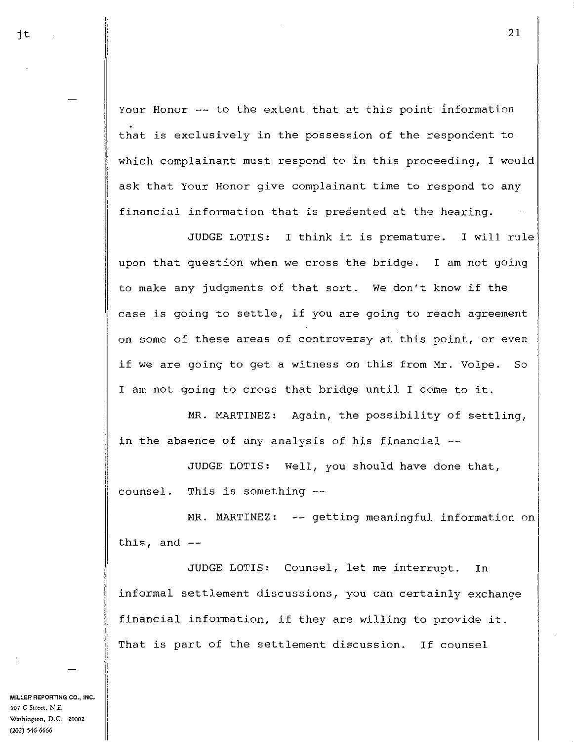Your Honor -- to the extent that at this point information that is exclusively in the possession of the respondent to which complainant must respond to in this proceeding, I would ask that Your Honor give complainant time to respond to any financial information that is presented at the hearing.

JUDGE LOTIS: I think it is premature. I will rule upon that question when we cross the bridge. I am not going to make any judgments of that sort. We don't know if the case is going to settle, if you are going to reach agreement on some of these areas of controversy at this point, or even if we are going to get a witness on this from Mr. Volpe. So I am not going to cross that bridge until I come to it.

MR. MARTINEZ: Again, the possibility of settling, in the absence of any analysis of his financial --

JUDGE LOTIS: Well, you should have done that, counsel. This is something

MR. MARTINEZ: -- getting meaningful information on this, and

JUDGE LOTIS: Counsel, let me interrupt. In informal settlement discussions, you can certainly exchange financial information, if they are willing to provide it. That is part of the settlement discussion. If counsel

**MILLER REPORTING CO., INC. 507 C Street, N .E. Washington, D.C. 20002**  (202) 546-6666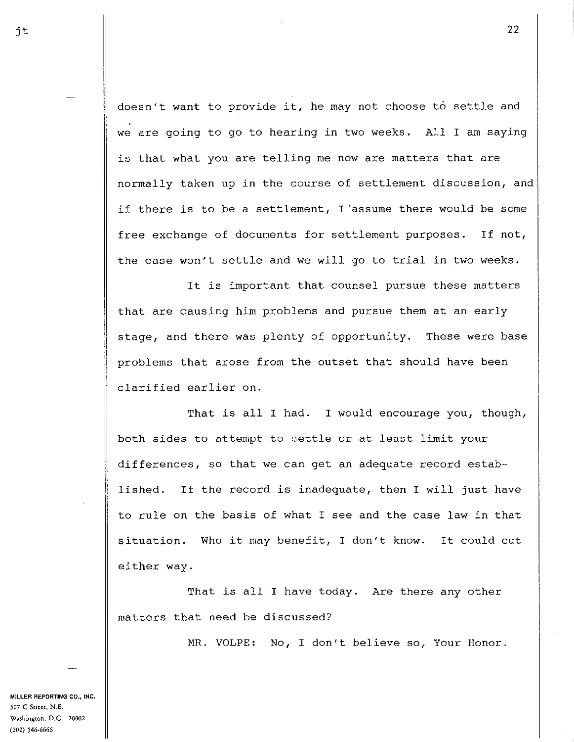doesn't want to provide it, he may not choose to settle and we are going to go to hearing in two weeks. All I am saying is that what you are telling me now are matters that are normally taken up in the course of settlement discussion, and if there is to be a settlement, I 'assume there would be some free exchange of documents for settlement purposes. If not, the case won't settle and we will go to trial in two weeks.

It is important that counsel pursue these matters that are causing him problems and pursue them at an early stage, and there was plenty of opportunity. These were base problems that arose from the outset that should have been clarified earlier on.

That is all I had. I would encourage you, though, both sides to attempt to settle or at least limit your differences, so that we can get an adequate record established. If the record is inadequate, then I will just have to rule on the basis of what I see and the case law in that situation. Who it may benefit, I don't know. It could cut either way.

That is all I have today. Are there any other matters that need be discussed?

MR. VOLPE: No, I don't believe so, Your Honor.

**MILLER REPORTING CO., INC. )07 C Street, N.E.**  W:~Shington, **D.C. 20002 (202) ,46-6666** 

22